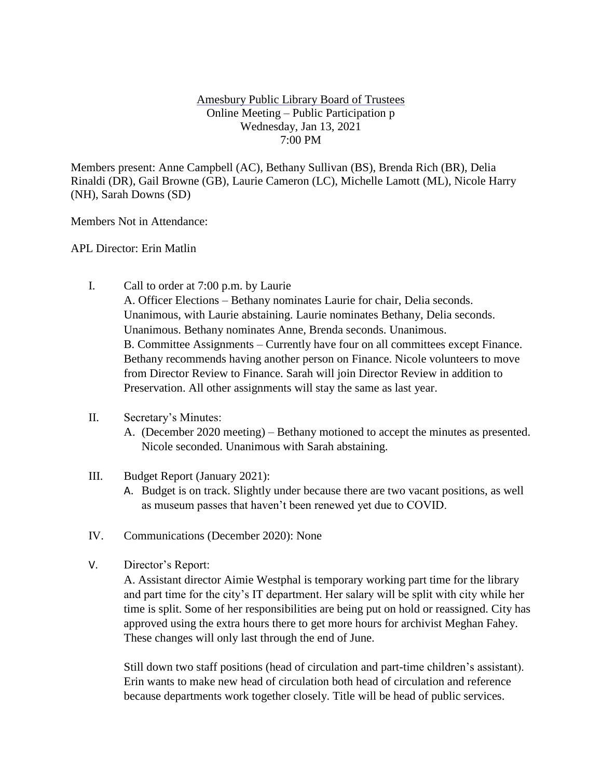### Amesbury Public Library Board of Trustees Online Meeting – Public Participation p Wednesday, Jan 13, 2021 7:00 PM

Members present: Anne Campbell (AC), Bethany Sullivan (BS), Brenda Rich (BR), Delia Rinaldi (DR), Gail Browne (GB), Laurie Cameron (LC), Michelle Lamott (ML), Nicole Harry (NH), Sarah Downs (SD)

Members Not in Attendance:

APL Director: Erin Matlin

I. Call to order at 7:00 p.m. by Laurie A. Officer Elections – Bethany nominates Laurie for chair, Delia seconds. Unanimous, with Laurie abstaining. Laurie nominates Bethany, Delia seconds. Unanimous. Bethany nominates Anne, Brenda seconds. Unanimous. B. Committee Assignments – Currently have four on all committees except Finance. Bethany recommends having another person on Finance. Nicole volunteers to move from Director Review to Finance. Sarah will join Director Review in addition to Preservation. All other assignments will stay the same as last year.

# II. Secretary's Minutes:

- A. (December 2020 meeting) Bethany motioned to accept the minutes as presented. Nicole seconded. Unanimous with Sarah abstaining.
- III. Budget Report (January 2021):
	- A. Budget is on track. Slightly under because there are two vacant positions, as well as museum passes that haven't been renewed yet due to COVID.
- IV. Communications (December 2020): None
- V. Director's Report:

A. Assistant director Aimie Westphal is temporary working part time for the library and part time for the city's IT department. Her salary will be split with city while her time is split. Some of her responsibilities are being put on hold or reassigned. City has approved using the extra hours there to get more hours for archivist Meghan Fahey. These changes will only last through the end of June.

Still down two staff positions (head of circulation and part-time children's assistant). Erin wants to make new head of circulation both head of circulation and reference because departments work together closely. Title will be head of public services.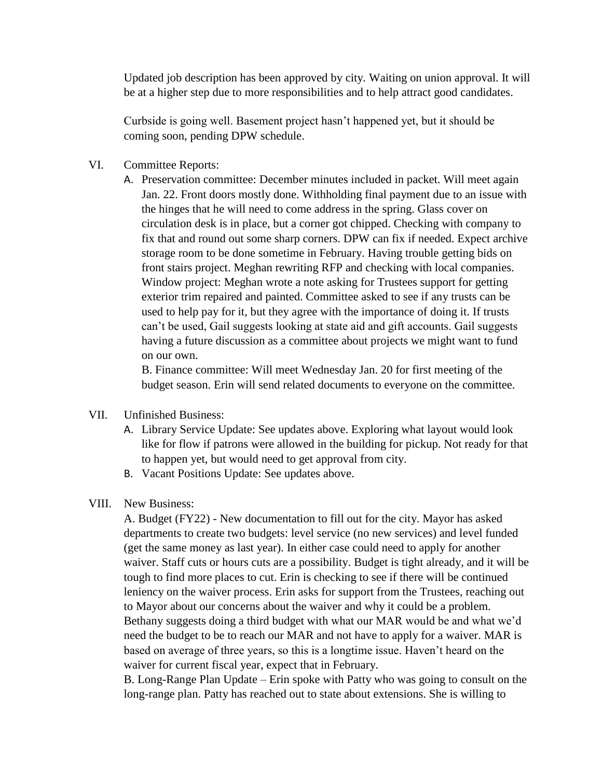Updated job description has been approved by city. Waiting on union approval. It will be at a higher step due to more responsibilities and to help attract good candidates.

Curbside is going well. Basement project hasn't happened yet, but it should be coming soon, pending DPW schedule.

### VI. Committee Reports:

A. Preservation committee: December minutes included in packet. Will meet again Jan. 22. Front doors mostly done. Withholding final payment due to an issue with the hinges that he will need to come address in the spring. Glass cover on circulation desk is in place, but a corner got chipped. Checking with company to fix that and round out some sharp corners. DPW can fix if needed. Expect archive storage room to be done sometime in February. Having trouble getting bids on front stairs project. Meghan rewriting RFP and checking with local companies. Window project: Meghan wrote a note asking for Trustees support for getting exterior trim repaired and painted. Committee asked to see if any trusts can be used to help pay for it, but they agree with the importance of doing it. If trusts can't be used, Gail suggests looking at state aid and gift accounts. Gail suggests having a future discussion as a committee about projects we might want to fund on our own.

B. Finance committee: Will meet Wednesday Jan. 20 for first meeting of the budget season. Erin will send related documents to everyone on the committee.

#### VII. Unfinished Business:

- A. Library Service Update: See updates above. Exploring what layout would look like for flow if patrons were allowed in the building for pickup. Not ready for that to happen yet, but would need to get approval from city.
- B. Vacant Positions Update: See updates above.

# VIII. New Business:

A. Budget (FY22) - New documentation to fill out for the city. Mayor has asked departments to create two budgets: level service (no new services) and level funded (get the same money as last year). In either case could need to apply for another waiver. Staff cuts or hours cuts are a possibility. Budget is tight already, and it will be tough to find more places to cut. Erin is checking to see if there will be continued leniency on the waiver process. Erin asks for support from the Trustees, reaching out to Mayor about our concerns about the waiver and why it could be a problem. Bethany suggests doing a third budget with what our MAR would be and what we'd need the budget to be to reach our MAR and not have to apply for a waiver. MAR is based on average of three years, so this is a longtime issue. Haven't heard on the waiver for current fiscal year, expect that in February.

B. Long-Range Plan Update – Erin spoke with Patty who was going to consult on the long-range plan. Patty has reached out to state about extensions. She is willing to